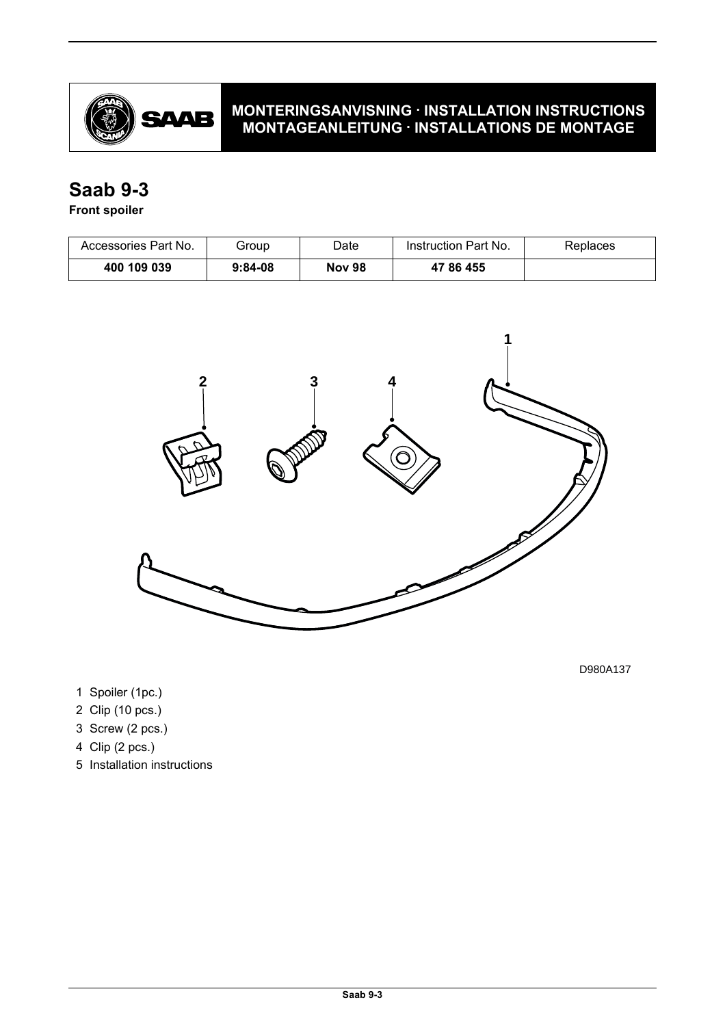

# **MONTERINGSANVISNING · INSTALLATION INSTRUCTIONS MONTAGEANLEITUNG · INSTALLATIONS DE MONTAGE**

# **Saab 9-3**

## **Front spoiler**

| Accessories Part No. | Group     | Date          | Instruction Part No. | <b>Replaces</b> |
|----------------------|-----------|---------------|----------------------|-----------------|
| 400 109 039          | $9:84-08$ | <b>Nov 98</b> | 47 86 455            |                 |



D980A137

- 1 Spoiler (1pc.)
- 2 Clip (10 pcs.)
- 3 Screw (2 pcs.)
- 4 Clip (2 pcs.)
- 5 Installation instructions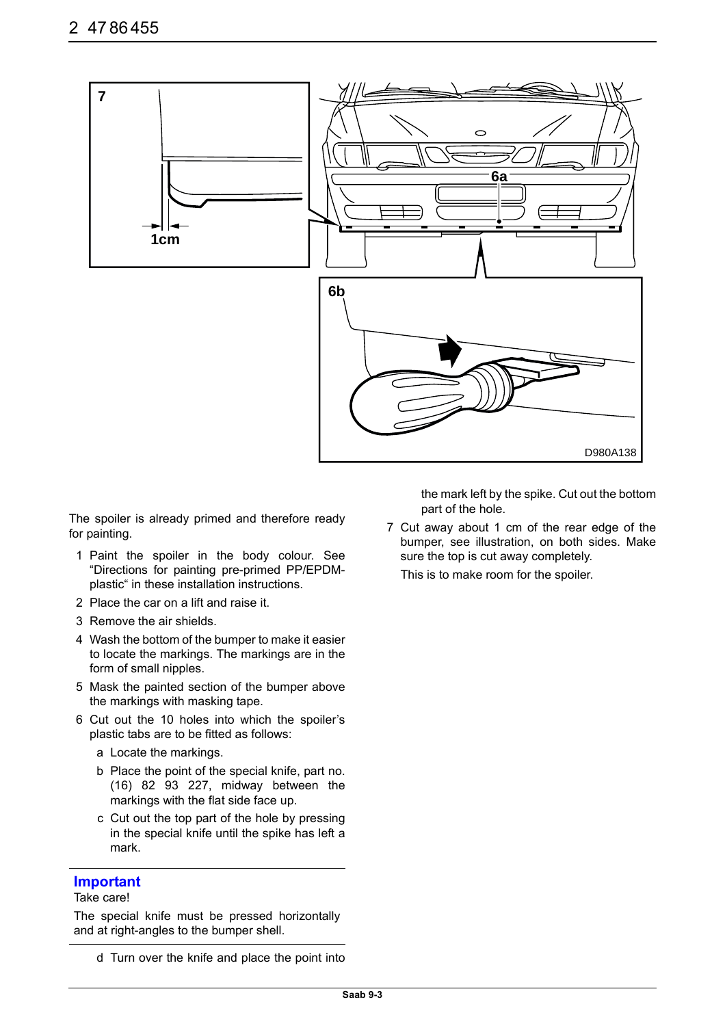

The spoiler is already primed and therefore ready for painting.

- 1 Paint the spoiler in the body colour. See "Directions for painting pre-primed PP/EPDMplastic" in these installation instructions.
- 2 Place the car on a lift and raise it.
- 3 Remove the air shields.
- 4 Wash the bottom of the bumper to make it easier to locate the markings. The markings are in the form of small nipples.
- 5 Mask the painted section of the bumper above the markings with masking tape.
- 6 Cut out the 10 holes into which the spoiler's plastic tabs are to be fitted as follows:
	- a Locate the markings.
	- b Place the point of the special knife, part no. (16) 82 93 227, midway between the markings with the flat side face up.
	- c Cut out the top part of the hole by pressing in the special knife until the spike has left a mark.

### **Important**

#### Take care!

The special knife must be pressed horizontally and at right-angles to the bumper shell.

the mark left by the spike. Cut out the bottom part of the hole.

7 Cut away about 1 cm of the rear edge of the bumper, see illustration, on both sides. Make sure the top is cut away completely.

This is to make room for the spoiler.

d Turn over the knife and place the point into